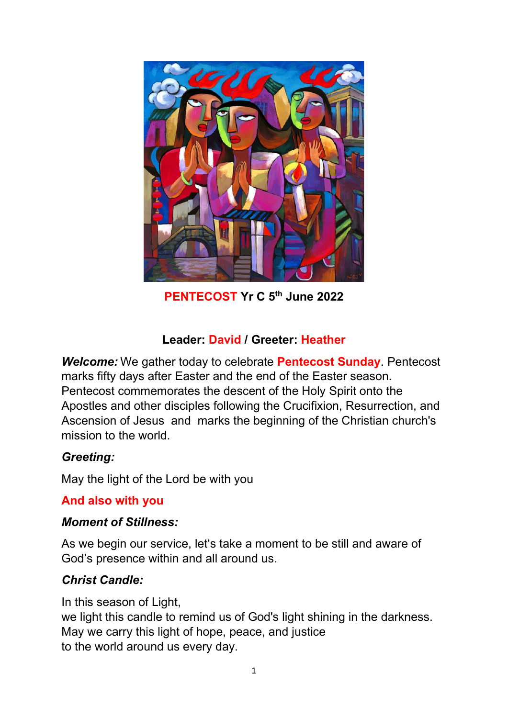

**PENTECOST Yr C 5th June 2022**

## **Leader: David / Greeter: Heather**

*Welcome:* We gather today to celebrate **Pentecost Sunday**. Pentecost marks fifty days after Easter and the end of the Easter season. Pentecost commemorates the descent of the Holy Spirit onto the Apostles and other disciples following the Crucifixion, Resurrection, and Ascension of Jesus and marks the beginning of the Christian church's mission to the world.

### *Greeting:*

May the light of the Lord be with you

### **And also with you**

#### *Moment of Stillness:*

As we begin our service, let's take a moment to be still and aware of God's presence within and all around us.

# *Christ Candle:*

In this season of Light, we light this candle to remind us of God's light shining in the darkness. May we carry this light of hope, peace, and justice to the world around us every day.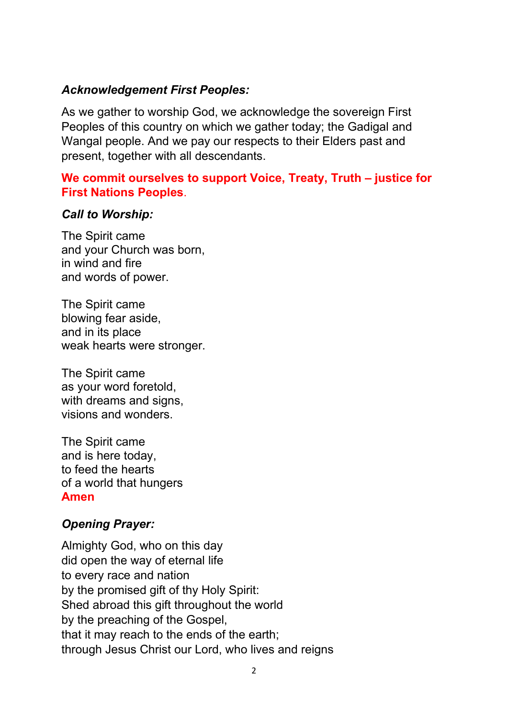### *Acknowledgement First Peoples:*

As we gather to worship God, we acknowledge the sovereign First Peoples of this country on which we gather today; the Gadigal and Wangal people. And we pay our respects to their Elders past and present, together with all descendants.

### **We commit ourselves to support Voice, Treaty, Truth – justice for First Nations Peoples**.

#### *Call to Worship:*

The Spirit came and your Church was born, in wind and fire and words of power.

The Spirit came blowing fear aside, and in its place weak hearts were stronger.

The Spirit came as your word foretold, with dreams and signs, visions and wonders.

The Spirit came and is here today, to feed the hearts of a world that hungers **Amen**

#### *Opening Prayer:*

Almighty God, who on this day did open the way of eternal life to every race and nation by the promised gift of thy Holy Spirit: Shed abroad this gift throughout the world by the preaching of the Gospel, that it may reach to the ends of the earth; through Jesus Christ our Lord, who lives and reigns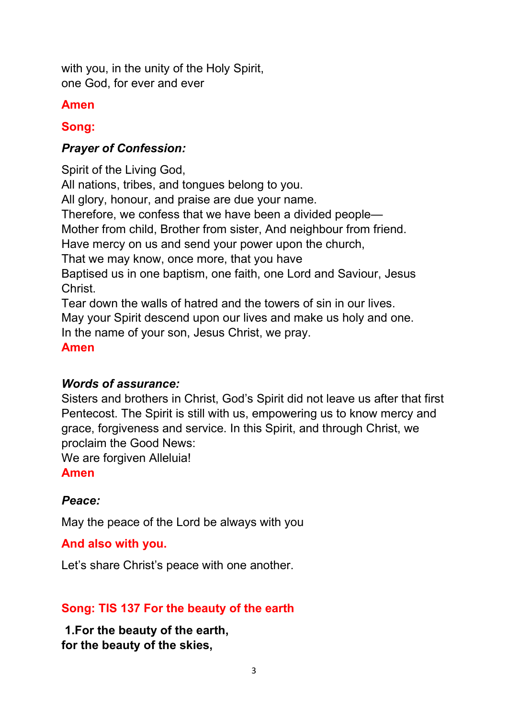with you, in the unity of the Holy Spirit, one God, for ever and ever

### **Amen**

# **Song:**

### *Prayer of Confession:*

Spirit of the Living God, All nations, tribes, and tongues belong to you. All glory, honour, and praise are due your name. Therefore, we confess that we have been a divided people— Mother from child, Brother from sister, And neighbour from friend. Have mercy on us and send your power upon the church, That we may know, once more, that you have Baptised us in one baptism, one faith, one Lord and Saviour, Jesus Christ. Tear down the walls of hatred and the towers of sin in our lives. May your Spirit descend upon our lives and make us holy and one. In the name of your son, Jesus Christ, we pray.

# **Amen**

### *Words of assurance:*

Sisters and brothers in Christ, God's Spirit did not leave us after that first Pentecost. The Spirit is still with us, empowering us to know mercy and grace, forgiveness and service. In this Spirit, and through Christ, we proclaim the Good News:

We are forgiven Alleluia!

#### **Amen**

### *Peace:*

May the peace of the Lord be always with you

#### **And also with you.**

Let's share Christ's peace with one another.

### **Song: TIS 137 For the beauty of the earth**

**1.For the beauty of the earth, for the beauty of the skies,**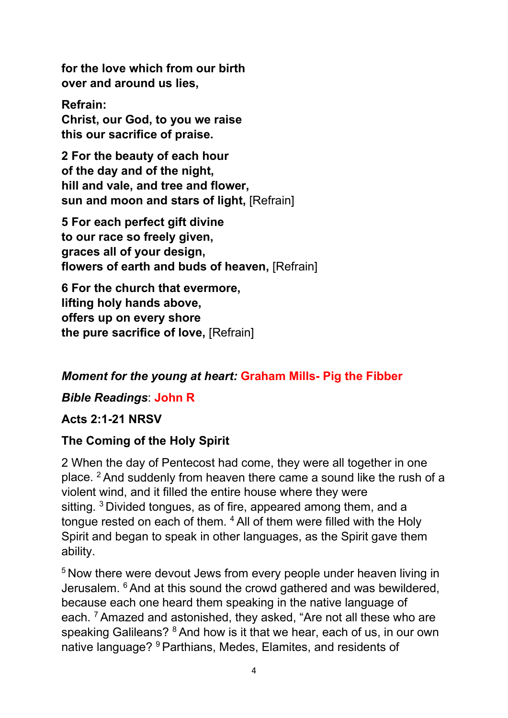**for the love which from our birth over and around us lies,**

**Refrain: Christ, our God, to you we raise this our sacrifice of praise.**

**2 For the beauty of each hour of the day and of the night, hill and vale, and tree and flower, sun and moon and stars of light,** [Refrain]

**5 For each perfect gift divine to our race so freely given, graces all of your design, flowers of earth and buds of heaven,** [Refrain]

**6 For the church that evermore, lifting holy hands above, offers up on every shore the pure sacrifice of love,** [Refrain]

# *Moment for the young at heart:* **Graham Mills- Pig the Fibber**

### *Bible Readings*: **John R**

### **Acts 2:1-21 NRSV**

### **The Coming of the Holy Spirit**

2 When the day of Pentecost had come, they were all together in one place. <sup>2</sup> And suddenly from heaven there came a sound like the rush of a violent wind, and it filled the entire house where they were sitting. <sup>3</sup> Divided tongues, as of fire, appeared among them, and a tongue rested on each of them. <sup>4</sup> All of them were filled with the Holy Spirit and began to speak in other languages, as the Spirit gave them ability.

<sup>5</sup> Now there were devout Jews from every people under heaven living in Jerusalem. <sup>6</sup> And at this sound the crowd gathered and was bewildered, because each one heard them speaking in the native language of each. <sup>7</sup> Amazed and astonished, they asked, "Are not all these who are speaking Galileans? <sup>8</sup> And how is it that we hear, each of us, in our own native language? <sup>9</sup> Parthians, Medes, Elamites, and residents of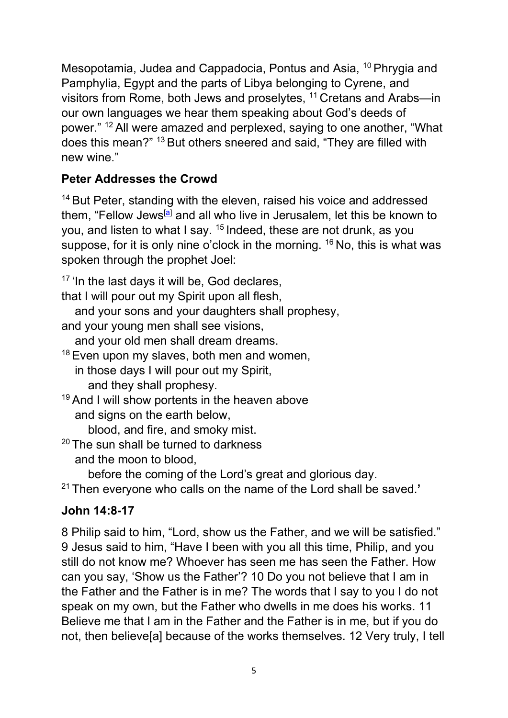Mesopotamia, Judea and Cappadocia, Pontus and Asia, <sup>10</sup> Phrygia and Pamphylia, Egypt and the parts of Libya belonging to Cyrene, and visitors from Rome, both Jews and proselytes, <sup>11</sup> Cretans and Arabs—in our own languages we hear them speaking about God's deeds of power." <sup>12</sup> All were amazed and perplexed, saying to one another, "What does this mean?" <sup>13</sup> But others sneered and said, "They are filled with new wine."

# **Peter Addresses the Crowd**

<sup>14</sup> But Peter, standing with the eleven, raised his voice and addressed them, "Fellow Jews<sup>[\[a\]](https://www.biblegateway.com/passage/?search=Acts%202:1-21&version=NRSVUE#fen-NRSVUE-26953a)</sup> and all who live in Jerusalem, let this be known to you, and listen to what I say. <sup>15</sup> Indeed, these are not drunk, as you suppose, for it is only nine o'clock in the morning. <sup>16</sup> No, this is what was spoken through the prophet Joel:

<sup>17</sup> 'In the last days it will be, God declares, that I will pour out my Spirit upon all flesh, and your sons and your daughters shall prophesy, and your young men shall see visions, and your old men shall dream dreams.  $18$  Even upon my slaves, both men and women, in those days I will pour out my Spirit, and they shall prophesy. <sup>19</sup> And I will show portents in the heaven above and signs on the earth below, blood, and fire, and smoky mist.  $20$  The sun shall be turned to darkness and the moon to blood,

before the coming of the Lord's great and glorious day.

<sup>21</sup> Then everyone who calls on the name of the Lord shall be saved.**'** 

# **John 14:8-17**

8 Philip said to him, "Lord, show us the Father, and we will be satisfied." 9 Jesus said to him, "Have I been with you all this time, Philip, and you still do not know me? Whoever has seen me has seen the Father. How can you say, 'Show us the Father'? 10 Do you not believe that I am in the Father and the Father is in me? The words that I say to you I do not speak on my own, but the Father who dwells in me does his works. 11 Believe me that I am in the Father and the Father is in me, but if you do not, then believe[a] because of the works themselves. 12 Very truly, I tell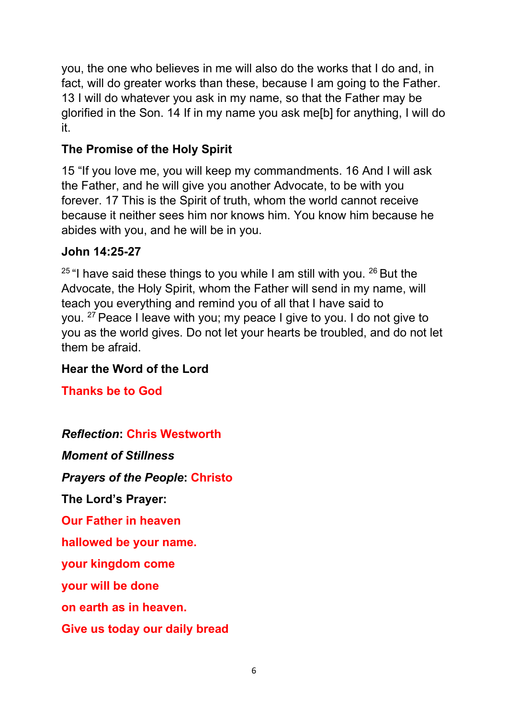you, the one who believes in me will also do the works that I do and, in fact, will do greater works than these, because I am going to the Father. 13 I will do whatever you ask in my name, so that the Father may be glorified in the Son. 14 If in my name you ask me[b] for anything, I will do it.

# **The Promise of the Holy Spirit**

15 "If you love me, you will keep my commandments. 16 And I will ask the Father, and he will give you another Advocate, to be with you forever. 17 This is the Spirit of truth, whom the world cannot receive because it neither sees him nor knows him. You know him because he abides with you, and he will be in you.

#### **John 14:25-27**

 $25$  "I have said these things to you while I am still with you.  $26$  But the Advocate, the Holy Spirit, whom the Father will send in my name, will teach you everything and remind you of all that I have said to you. <sup>27</sup> Peace I leave with you; my peace I give to you. I do not give to you as the world gives. Do not let your hearts be troubled, and do not let them be afraid.

### **Hear the Word of the Lord**

**Thanks be to God**

### *Reflection***: Chris Westworth**

*Moment of Stillness*

*Prayers of the People***: Christo**

**The Lord's Prayer:**

**Our Father in heaven**

**hallowed be your name.**

**your kingdom come**

**your will be done**

**on earth as in heaven.**

**Give us today our daily bread**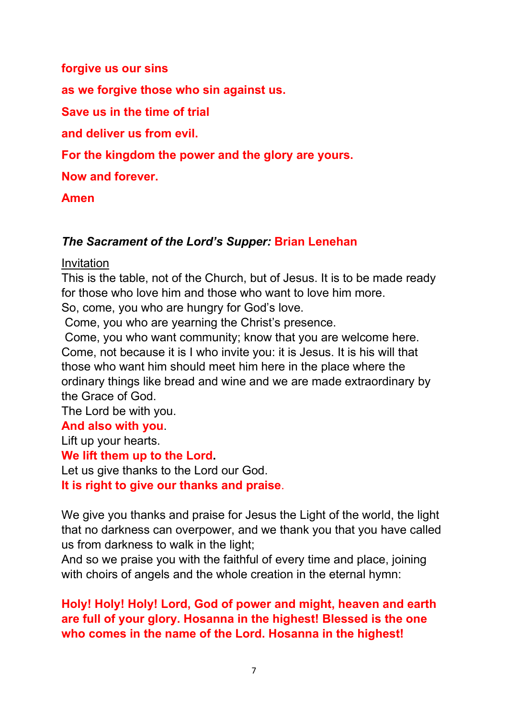#### **forgive us our sins**

**as we forgive those who sin against us.** 

**Save us in the time of trial** 

**and deliver us from evil.**

**For the kingdom the power and the glory are yours.** 

**Now and forever.** 

#### **Amen**

### *The Sacrament of the Lord's Supper:* **Brian Lenehan**

#### Invitation

This is the table, not of the Church, but of Jesus. It is to be made ready for those who love him and those who want to love him more.

So, come, you who are hungry for God's love.

Come, you who are yearning the Christ's presence.

Come, you who want community; know that you are welcome here. Come, not because it is I who invite you: it is Jesus. It is his will that those who want him should meet him here in the place where the ordinary things like bread and wine and we are made extraordinary by the Grace of God.

The Lord be with you.

#### **And also with you**.

Lift up your hearts.

#### **We lift them up to the Lord.**

Let us give thanks to the Lord our God.

**It is right to give our thanks and praise**.

We give you thanks and praise for Jesus the Light of the world, the light that no darkness can overpower, and we thank you that you have called us from darkness to walk in the light;

And so we praise you with the faithful of every time and place, joining with choirs of angels and the whole creation in the eternal hymn:

## **Holy! Holy! Holy! Lord, God of power and might, heaven and earth are full of your glory. Hosanna in the highest! Blessed is the one who comes in the name of the Lord. Hosanna in the highest!**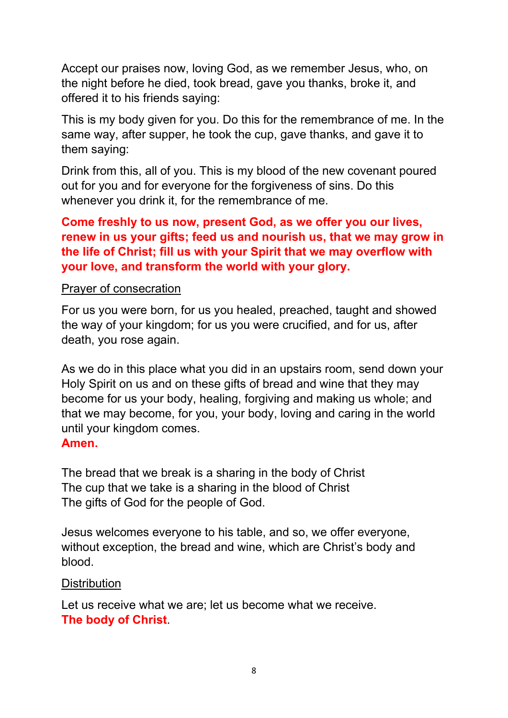Accept our praises now, loving God, as we remember Jesus, who, on the night before he died, took bread, gave you thanks, broke it, and offered it to his friends saying:

This is my body given for you. Do this for the remembrance of me. In the same way, after supper, he took the cup, gave thanks, and gave it to them saying:

Drink from this, all of you. This is my blood of the new covenant poured out for you and for everyone for the forgiveness of sins. Do this whenever you drink it, for the remembrance of me.

#### **Come freshly to us now, present God, as we offer you our lives, renew in us your gifts; feed us and nourish us, that we may grow in the life of Christ; fill us with your Spirit that we may overflow with your love, and transform the world with your glory.**

#### Prayer of consecration

For us you were born, for us you healed, preached, taught and showed the way of your kingdom; for us you were crucified, and for us, after death, you rose again.

As we do in this place what you did in an upstairs room, send down your Holy Spirit on us and on these gifts of bread and wine that they may become for us your body, healing, forgiving and making us whole; and that we may become, for you, your body, loving and caring in the world until your kingdom comes.

#### **Amen.**

The bread that we break is a sharing in the body of Christ The cup that we take is a sharing in the blood of Christ The gifts of God for the people of God.

Jesus welcomes everyone to his table, and so, we offer everyone, without exception, the bread and wine, which are Christ's body and blood.

#### **Distribution**

Let us receive what we are; let us become what we receive. **The body of Christ**.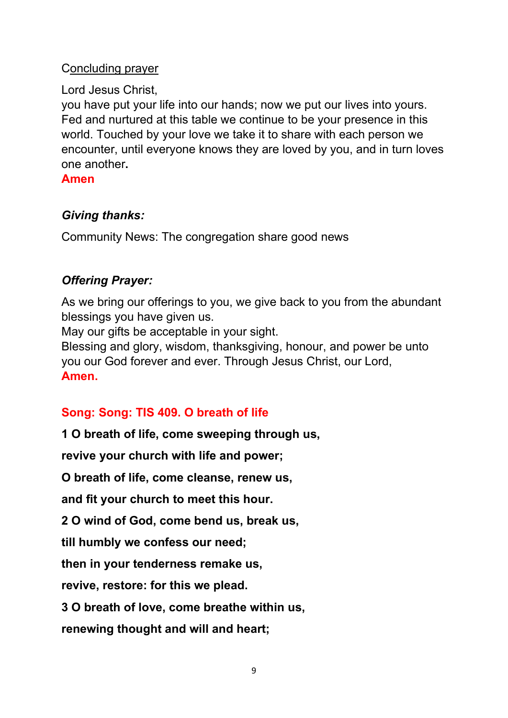#### Concluding prayer

#### Lord Jesus Christ,

you have put your life into our hands; now we put our lives into yours. Fed and nurtured at this table we continue to be your presence in this world. Touched by your love we take it to share with each person we encounter, until everyone knows they are loved by you, and in turn loves one another**.**

#### **Amen**

### *Giving thanks:*

Community News: The congregation share good news

## *Offering Prayer:*

As we bring our offerings to you, we give back to you from the abundant blessings you have given us.

May our gifts be acceptable in your sight.

Blessing and glory, wisdom, thanksgiving, honour, and power be unto you our God forever and ever. Through Jesus Christ, our Lord, **Amen.**

# **Song: Song: TIS 409. O breath of life**

**1 O breath of life, come sweeping through us,**

**revive your church with life and power;**

**O breath of life, come cleanse, renew us,**

**and fit your church to meet this hour.**

**2 O wind of God, come bend us, break us,**

**till humbly we confess our need;**

**then in your tenderness remake us,**

**revive, restore: for this we plead.**

**3 O breath of love, come breathe within us,**

**renewing thought and will and heart;**